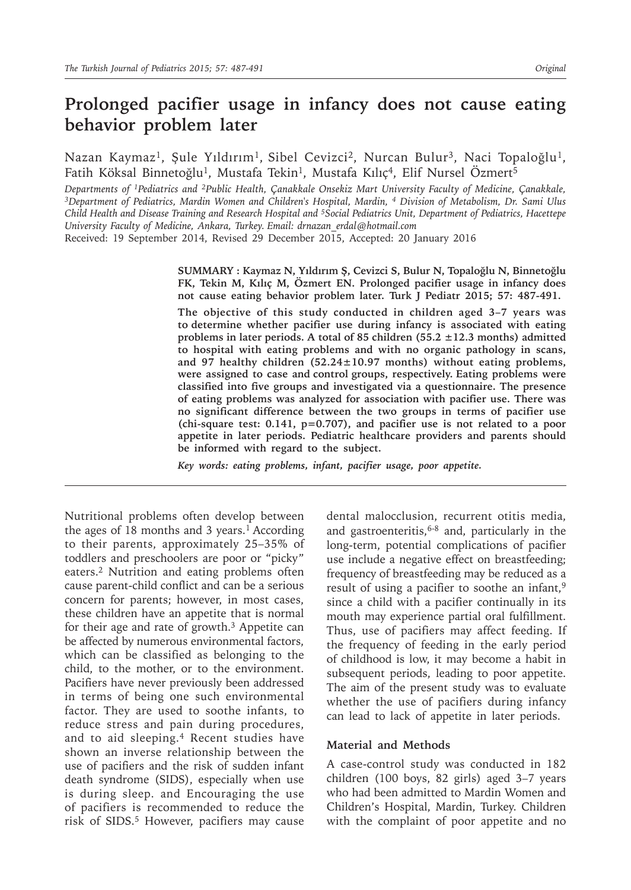# **Prolonged pacifier usage in infancy does not cause eating behavior problem later**

Nazan Kaymaz<sup>1</sup>, Şule Yıldırım<sup>1</sup>, Sibel Cevizci<sup>2</sup>, Nurcan Bulur<sup>3</sup>, Naci Topaloğlu<sup>1</sup>, Fatih Köksal Binnetoğlu<sup>1</sup>, Mustafa Tekin<sup>1</sup>, Mustafa Kılıç<sup>4</sup>, Elif Nursel Özmert<sup>5</sup>

*Departments of 1Pediatrics and 2Public Health, Çanakkale Onsekiz Mart University Faculty of Medicine, Çanakkale, <sup>3</sup>Department of Pediatrics, Mardin Women and Children's Hospital, Mardin, <sup>4</sup> Division of Metabolism, Dr. Sami Ulus Child Health and Disease Training and Research Hospital and <sup>5</sup>Social Pediatrics Unit, Department of Pediatrics, Hacettepe University Faculty of Medicine, Ankara, Turkey. Email: drnazan\_erdal@hotmail.com*

Received: 19 September 2014, Revised 29 December 2015, Accepted: 20 January 2016

**SUMMARY : Kaymaz N, Yıldırım Ş, Cevizci S, Bulur N, Topaloğlu N, Binnetoğlu FK, Tekin M, Kılıç M, Özmert EN. Prolonged pacifier usage in infancy does not cause eating behavior problem later. Turk J Pediatr 2015; 57: 487-491.**

**The objective of this study conducted in children aged 3–7 years was to determine whether pacifier use during infancy is associated with eating problems in later periods. A total of 85 children (55.2 ±12.3 months) admitted to hospital with eating problems and with no organic pathology in scans, and 97 healthy children (52.24±10.97 months) without eating problems, were assigned to case and control groups, respectively. Eating problems were classified into five groups and investigated via a questionnaire. The presence of eating problems was analyzed for association with pacifier use. There was no significant difference between the two groups in terms of pacifier use (chi-square test: 0.141, p=0.707), and pacifier use is not related to a poor appetite in later periods. Pediatric healthcare providers and parents should be informed with regard to the subject.**

*Key words: eating problems, infant, pacifier usage, poor appetite.*

Nutritional problems often develop between the ages of 18 months and 3 years.<sup>1</sup> According to their parents, approximately 25–35% of toddlers and preschoolers are poor or "picky" eaters.2 Nutrition and eating problems often cause parent-child conflict and can be a serious concern for parents; however, in most cases, these children have an appetite that is normal for their age and rate of growth.<sup>3</sup> Appetite can be affected by numerous environmental factors, which can be classified as belonging to the child, to the mother, or to the environment. Pacifiers have never previously been addressed in terms of being one such environmental factor. They are used to soothe infants, to reduce stress and pain during procedures, and to aid sleeping.<sup>4</sup> Recent studies have shown an inverse relationship between the use of pacifiers and the risk of sudden infant death syndrome (SIDS), especially when use is during sleep. and Encouraging the use of pacifiers is recommended to reduce the risk of SIDS.<sup>5</sup> However, pacifiers may cause

dental malocclusion, recurrent otitis media, and gastroenteritis, $6-8$  and, particularly in the long-term, potential complications of pacifier use include a negative effect on breastfeeding; frequency of breastfeeding may be reduced as a result of using a pacifier to soothe an infant,<sup>9</sup> since a child with a pacifier continually in its mouth may experience partial oral fulfillment. Thus, use of pacifiers may affect feeding. If the frequency of feeding in the early period of childhood is low, it may become a habit in subsequent periods, leading to poor appetite. The aim of the present study was to evaluate whether the use of pacifiers during infancy can lead to lack of appetite in later periods.

### **Material and Methods**

A case-control study was conducted in 182 children (100 boys, 82 girls) aged 3–7 years who had been admitted to Mardin Women and Children's Hospital, Mardin, Turkey. Children with the complaint of poor appetite and no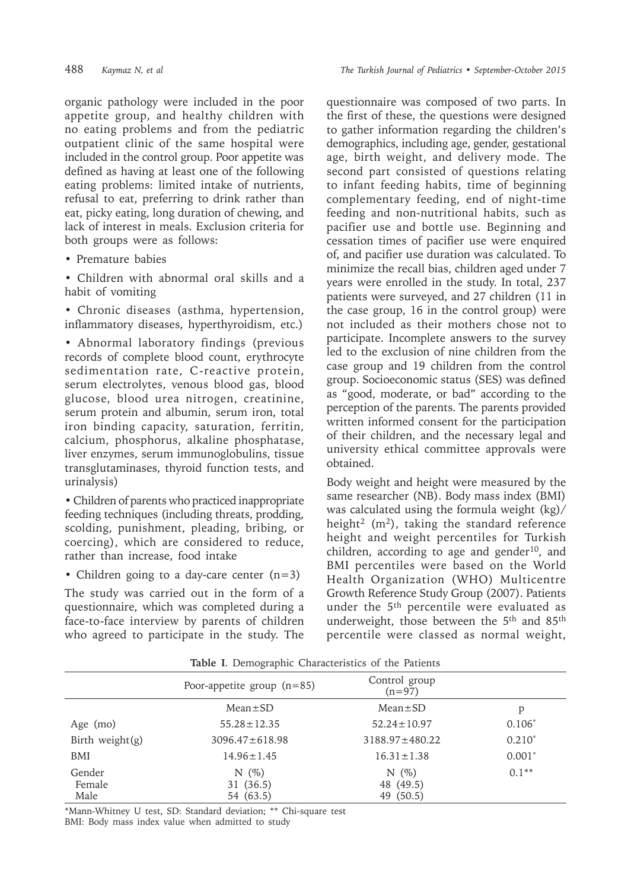organic pathology were included in the poor appetite group, and healthy children with no eating problems and from the pediatric outpatient clinic of the same hospital were included in the control group. Poor appetite was defined as having at least one of the following eating problems: limited intake of nutrients, refusal to eat, preferring to drink rather than eat, picky eating, long duration of chewing, and lack of interest in meals. Exclusion criteria for both groups were as follows:

• Premature babies

• Children with abnormal oral skills and a habit of vomiting

• Chronic diseases (asthma, hypertension, inflammatory diseases, hyperthyroidism, etc.)

• Abnormal laboratory findings (previous records of complete blood count, erythrocyte sedimentation rate, C-reactive protein, serum electrolytes, venous blood gas, blood glucose, blood urea nitrogen, creatinine, serum protein and albumin, serum iron, total iron binding capacity, saturation, ferritin, calcium, phosphorus, alkaline phosphatase, liver enzymes, serum immunoglobulins, tissue transglutaminases, thyroid function tests, and urinalysis)

• Children of parents who practiced inappropriate feeding techniques (including threats, prodding, scolding, punishment, pleading, bribing, or coercing), which are considered to reduce, rather than increase, food intake

• Children going to a day-care center (n=3)

The study was carried out in the form of a questionnaire, which was completed during a face-to-face interview by parents of children who agreed to participate in the study. The

questionnaire was composed of two parts. In the first of these, the questions were designed to gather information regarding the children's demographics, including age, gender, gestational age, birth weight, and delivery mode. The second part consisted of questions relating to infant feeding habits, time of beginning complementary feeding, end of night-time feeding and non-nutritional habits, such as pacifier use and bottle use. Beginning and cessation times of pacifier use were enquired of, and pacifier use duration was calculated. To minimize the recall bias, children aged under 7 years were enrolled in the study. In total, 237 patients were surveyed, and 27 children (11 in the case group, 16 in the control group) were not included as their mothers chose not to participate. Incomplete answers to the survey led to the exclusion of nine children from the case group and 19 children from the control group. Socioeconomic status (SES) was defined as "good, moderate, or bad" according to the perception of the parents. The parents provided written informed consent for the participation of their children, and the necessary legal and university ethical committee approvals were obtained.

Body weight and height were measured by the same researcher (NB). Body mass index (BMI) was calculated using the formula weight (kg)/ height<sup>2</sup> (m<sup>2</sup>), taking the standard reference height and weight percentiles for Turkish children, according to age and gender<sup>10</sup>, and BMI percentiles were based on the World Health Organization (WHO) Multicentre Growth Reference Study Group (2007). Patients under the 5<sup>th</sup> percentile were evaluated as underweight, those between the 5<sup>th</sup> and 85<sup>th</sup> percentile were classed as normal weight,

| Incie I, Benne Merrie Characteries of the I wateries |                                   |                                   |          |  |  |  |  |
|------------------------------------------------------|-----------------------------------|-----------------------------------|----------|--|--|--|--|
|                                                      | Poor-appetite group $(n=85)$      | Control group<br>$(n=97)$         |          |  |  |  |  |
|                                                      | $Mean \pm SD$                     | $Mean \pm SD$                     | p        |  |  |  |  |
| Age (mo)                                             | $55.28 \pm 12.35$                 | $52.24 \pm 10.97$                 | $0.106*$ |  |  |  |  |
| Birth weight $(g)$                                   | $3096.47 \pm 618.98$              | $3188.97 \pm 480.22$              | $0.210*$ |  |  |  |  |
| BMI                                                  | $14.96 \pm 1.45$                  | $16.31 \pm 1.38$                  | $0.001*$ |  |  |  |  |
| Gender<br>Female<br>Male                             | $N(\%)$<br>31 (36.5)<br>54 (63.5) | $N(\%)$<br>48 (49.5)<br>49 (50.5) | $0.1**$  |  |  |  |  |

**Table I**. Demographic Characteristics of the Patients

\*Mann-Whitney U test, SD: Standard deviation; \*\* Chi-square test

BMI: Body mass index value when admitted to study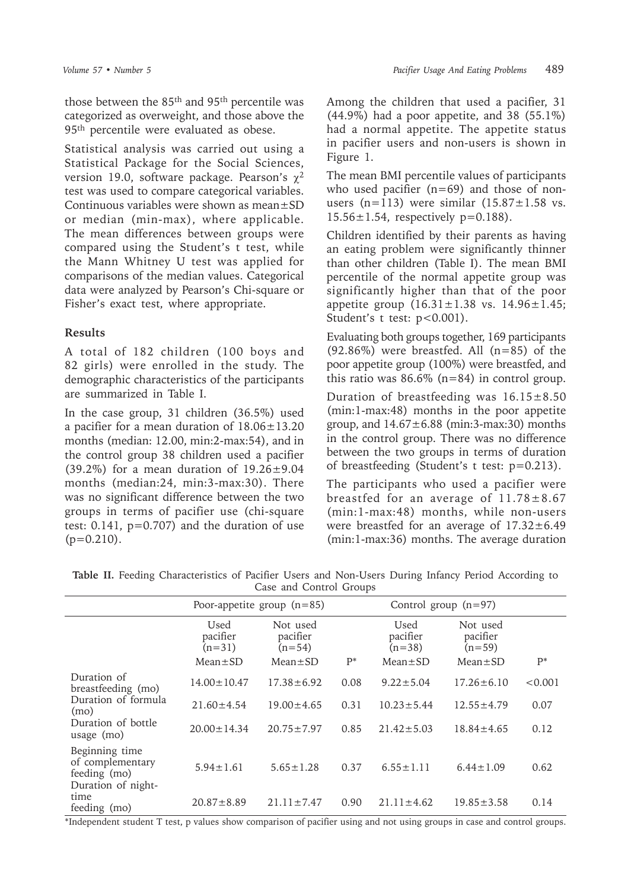those between the 85th and 95th percentile was categorized as overweight, and those above the 95<sup>th</sup> percentile were evaluated as obese.

Statistical analysis was carried out using a Statistical Package for the Social Sciences, version 19.0, software package. Pearson's  $\chi^2$ test was used to compare categorical variables. Continuous variables were shown as mean±SD or median (min-max), where applicable. The mean differences between groups were compared using the Student's t test, while the Mann Whitney U test was applied for comparisons of the median values. Categorical data were analyzed by Pearson's Chi-square or Fisher's exact test, where appropriate.

# **Results**

A total of 182 children (100 boys and 82 girls) were enrolled in the study. The demographic characteristics of the participants are summarized in Table I.

In the case group, 31 children (36.5%) used a pacifier for a mean duration of 18.06±13.20 months (median: 12.00, min:2-max:54), and in the control group 38 children used a pacifier  $(39.2\%)$  for a mean duration of  $19.26 \pm 9.04$ months (median:24, min:3-max:30). There was no significant difference between the two groups in terms of pacifier use (chi-square test:  $0.141$ ,  $p=0.707$ ) and the duration of use  $(p=0.210)$ .

Among the children that used a pacifier, 31 (44.9%) had a poor appetite, and 38 (55.1%) had a normal appetite. The appetite status in pacifier users and non-users is shown in Figure 1.

The mean BMI percentile values of participants who used pacifier  $(n=69)$  and those of nonusers (n=113) were similar  $(15.87 \pm 1.58 \text{ vs.})$  $15.56 \pm 1.54$ , respectively p=0.188).

Children identified by their parents as having an eating problem were significantly thinner than other children (Table I). The mean BMI percentile of the normal appetite group was significantly higher than that of the poor appetite group  $(16.31 \pm 1.38 \text{ vs. } 14.96 \pm 1.45;$ Student's t test: p<0.001).

Evaluating both groups together, 169 participants (92.86%) were breastfed. All  $(n=85)$  of the poor appetite group (100%) were breastfed, and this ratio was  $86.6\%$  (n=84) in control group.

Duration of breastfeeding was  $16.15 \pm 8.50$ (min:1-max:48) months in the poor appetite group, and  $14.67\pm6.88$  (min:3-max:30) months in the control group. There was no difference between the two groups in terms of duration of breastfeeding (Student's t test: p=0.213).

The participants who used a pacifier were breastfed for an average of  $11.78 \pm 8.67$ (min:1-max:48) months, while non-users were breastfed for an average of  $17.32 \pm 6.49$ (min:1-max:36) months. The average duration

|                                                                          |                              | Poor-appetite group $(n=85)$     | Control group $(n=97)$ |                              |                                  |         |
|--------------------------------------------------------------------------|------------------------------|----------------------------------|------------------------|------------------------------|----------------------------------|---------|
|                                                                          | Used<br>pacifier<br>$(n=31)$ | Not used<br>pacifier<br>$(n=54)$ |                        | Used<br>pacifier<br>$(n=38)$ | Not used<br>pacifier<br>$(n=59)$ |         |
|                                                                          | $Mean \pm SD$                | $Mean \pm SD$                    | $P^*$                  | $Mean \pm SD$                | $Mean \pm SD$                    | $P^*$   |
| Duration of<br>breastfeeding (mo)                                        | $14.00 \pm 10.47$            | $17.38 \pm 6.92$                 | 0.08                   | $9.22 \pm 5.04$              | $17.26 \pm 6.10$                 | < 0.001 |
| Duration of formula<br>(mo)                                              | $21.60 \pm 4.54$             | $19.00 \pm 4.65$                 | 0.31                   | $10.23 \pm 5.44$             | $12.55 \pm 4.79$                 | 0.07    |
| Duration of bottle<br>usage (mo)                                         | $20.00 \pm 14.34$            | $20.75 \pm 7.97$                 | 0.85                   | $21.42 \pm 5.03$             | $18.84 \pm 4.65$                 | 0.12    |
| Beginning time<br>of complementary<br>feeding (mo)<br>Duration of night- | $5.94 \pm 1.61$              | $5.65 \pm 1.28$                  | 0.37                   | $6.55 \pm 1.11$              | $6.44 \pm 1.09$                  | 0.62    |
| time<br>feeding (mo)                                                     | $20.87 \pm 8.89$             | $21.11 \pm 7.47$                 | 0.90                   | $21.11 \pm 4.62$             | $19.85 \pm 3.58$                 | 0.14    |

**Table II.** Feeding Characteristics of Pacifier Users and Non-Users During Infancy Period According to Case and Control Groups

\*Independent student T test, p values show comparison of pacifier using and not using groups in case and control groups.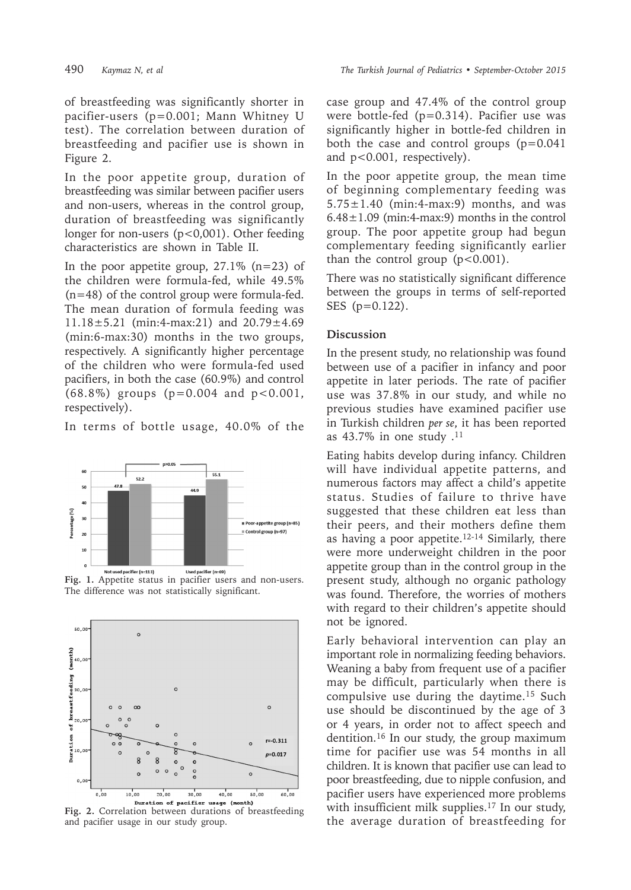of breastfeeding was significantly shorter in pacifier-users (p=0.001; Mann Whitney U test). The correlation between duration of breastfeeding and pacifier use is shown in Figure 2.

In the poor appetite group, duration of breastfeeding was similar between pacifier users and non-users, whereas in the control group, duration of breastfeeding was significantly longer for non-users (p<0,001). Other feeding characteristics are shown in Table II.

In the poor appetite group,  $27.1\%$  (n=23) of the children were formula-fed, while 49.5% (n=48) of the control group were formula-fed. The mean duration of formula feeding was 11.18±5.21 (min:4-max:21) and 20.79±4.69 (min:6-max:30) months in the two groups, respectively. A significantly higher percentage of the children who were formula-fed used pacifiers, in both the case (60.9%) and control (68.8%) groups (p=0.004 and p<0.001, respectively).

In terms of bottle usage, 40.0% of the



The difference was not statistically significant.



**Fig. 2.** Correlation between durations of breastfeeding and pacifier usage in our study group.

case group and 47.4% of the control group were bottle-fed (p=0.314). Pacifier use was significantly higher in bottle-fed children in both the case and control groups  $(p=0.041)$ and p<0.001, respectively).

In the poor appetite group, the mean time of beginning complementary feeding was  $5.75 \pm 1.40$  (min:4-max:9) months, and was  $6.48 \pm 1.09$  (min:4-max:9) months in the control group. The poor appetite group had begun complementary feeding significantly earlier than the control group  $(p<0.001)$ .

There was no statistically significant difference between the groups in terms of self-reported SES (p=0.122).

## **Discussion**

In the present study, no relationship was found between use of a pacifier in infancy and poor appetite in later periods. The rate of pacifier use was 37.8% in our study, and while no previous studies have examined pacifier use in Turkish children *per se*, it has been reported as  $43.7\%$  in one study .<sup>11</sup>

Eating habits develop during infancy. Children will have individual appetite patterns, and numerous factors may affect a child's appetite status. Studies of failure to thrive have suggested that these children eat less than their peers, and their mothers define them as having a poor appetite.12-14 Similarly, there were more underweight children in the poor appetite group than in the control group in the present study, although no organic pathology was found. Therefore, the worries of mothers with regard to their children's appetite should not be ignored.

Early behavioral intervention can play an important role in normalizing feeding behaviors. Weaning a baby from frequent use of a pacifier may be difficult, particularly when there is compulsive use during the daytime.<sup>15</sup> Such use should be discontinued by the age of 3 or 4 years, in order not to affect speech and dentition.16 In our study, the group maximum time for pacifier use was 54 months in all children. It is known that pacifier use can lead to poor breastfeeding, due to nipple confusion, and pacifier users have experienced more problems with insufficient milk supplies.17 In our study, the average duration of breastfeeding for